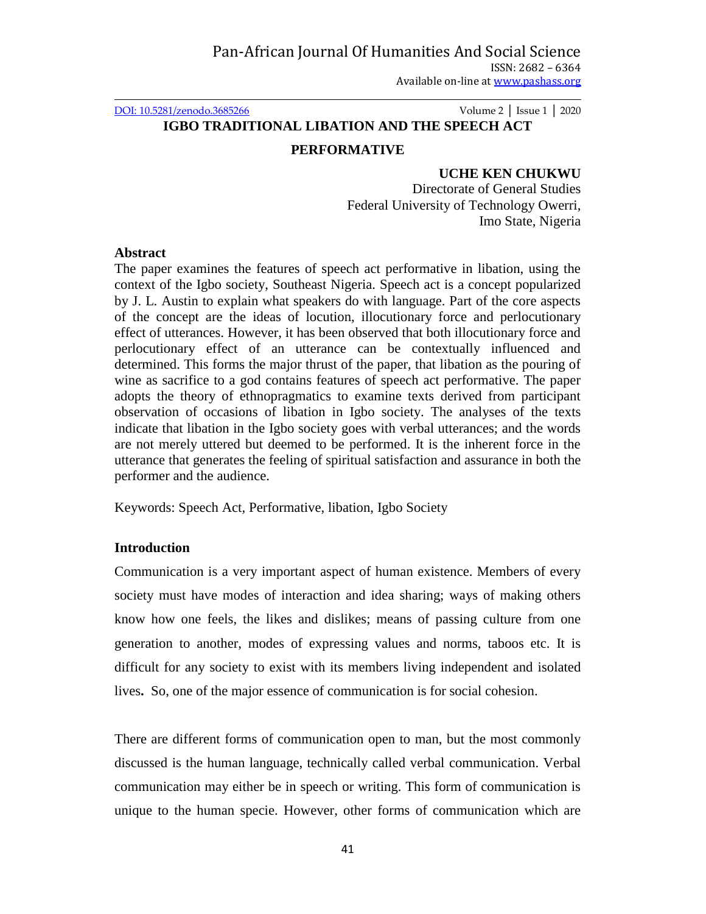[DOI: 10.5281/zenodo.3685266](http://dx.doi.org/10.5281/zenodo.3339089) Volume 2 │ Issue 1 │ 2020

# **IGBO TRADITIONAL LIBATION AND THE SPEECH ACT**

#### **PERFORMATIVE**

### **UCHE KEN CHUKWU**

Directorate of General Studies Federal University of Technology Owerri, Imo State, Nigeria

#### **Abstract**

The paper examines the features of speech act performative in libation, using the context of the Igbo society, Southeast Nigeria. Speech act is a concept popularized by J. L. Austin to explain what speakers do with language. Part of the core aspects of the concept are the ideas of locution, illocutionary force and perlocutionary effect of utterances. However, it has been observed that both illocutionary force and perlocutionary effect of an utterance can be contextually influenced and determined. This forms the major thrust of the paper, that libation as the pouring of wine as sacrifice to a god contains features of speech act performative. The paper adopts the theory of ethnopragmatics to examine texts derived from participant observation of occasions of libation in Igbo society. The analyses of the texts indicate that libation in the Igbo society goes with verbal utterances; and the words are not merely uttered but deemed to be performed. It is the inherent force in the utterance that generates the feeling of spiritual satisfaction and assurance in both the performer and the audience.

Keywords: Speech Act, Performative, libation, Igbo Society

# **Introduction**

Communication is a very important aspect of human existence. Members of every society must have modes of interaction and idea sharing; ways of making others know how one feels, the likes and dislikes; means of passing culture from one generation to another, modes of expressing values and norms, taboos etc. It is difficult for any society to exist with its members living independent and isolated lives**.** So, one of the major essence of communication is for social cohesion.

There are different forms of communication open to man, but the most commonly discussed is the human language, technically called verbal communication. Verbal communication may either be in speech or writing. This form of communication is unique to the human specie. However, other forms of communication which are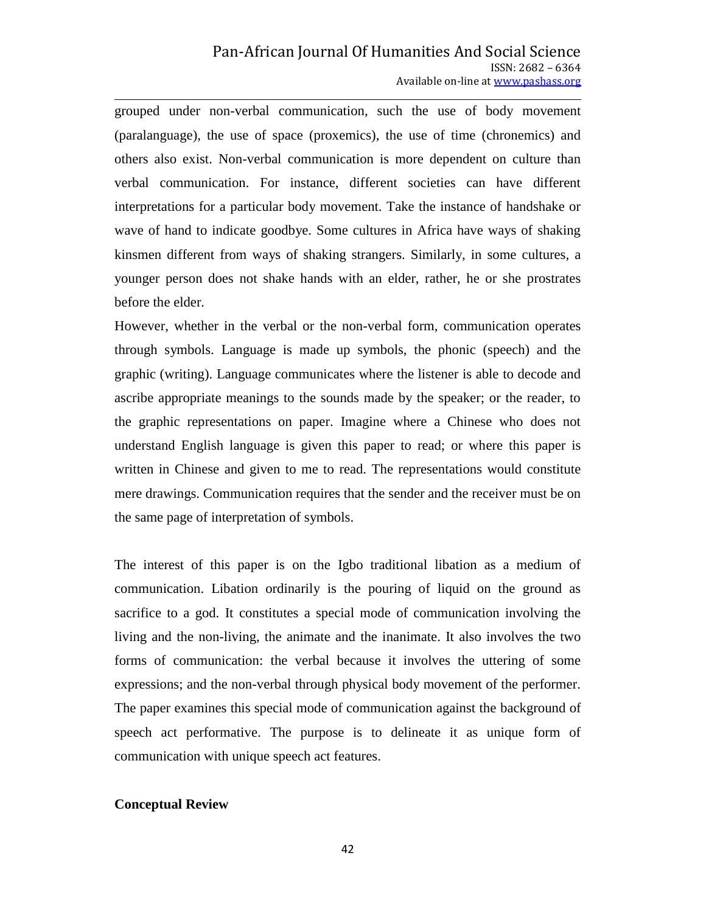grouped under non-verbal communication, such the use of body movement (paralanguage), the use of space (proxemics), the use of time (chronemics) and others also exist. Non-verbal communication is more dependent on culture than verbal communication. For instance, different societies can have different interpretations for a particular body movement. Take the instance of handshake or wave of hand to indicate goodbye. Some cultures in Africa have ways of shaking kinsmen different from ways of shaking strangers. Similarly, in some cultures, a younger person does not shake hands with an elder, rather, he or she prostrates before the elder.

However, whether in the verbal or the non-verbal form, communication operates through symbols. Language is made up symbols, the phonic (speech) and the graphic (writing). Language communicates where the listener is able to decode and ascribe appropriate meanings to the sounds made by the speaker; or the reader, to the graphic representations on paper. Imagine where a Chinese who does not understand English language is given this paper to read; or where this paper is written in Chinese and given to me to read. The representations would constitute mere drawings. Communication requires that the sender and the receiver must be on the same page of interpretation of symbols.

The interest of this paper is on the Igbo traditional libation as a medium of communication. Libation ordinarily is the pouring of liquid on the ground as sacrifice to a god. It constitutes a special mode of communication involving the living and the non-living, the animate and the inanimate. It also involves the two forms of communication: the verbal because it involves the uttering of some expressions; and the non-verbal through physical body movement of the performer. The paper examines this special mode of communication against the background of speech act performative. The purpose is to delineate it as unique form of communication with unique speech act features.

#### **Conceptual Review**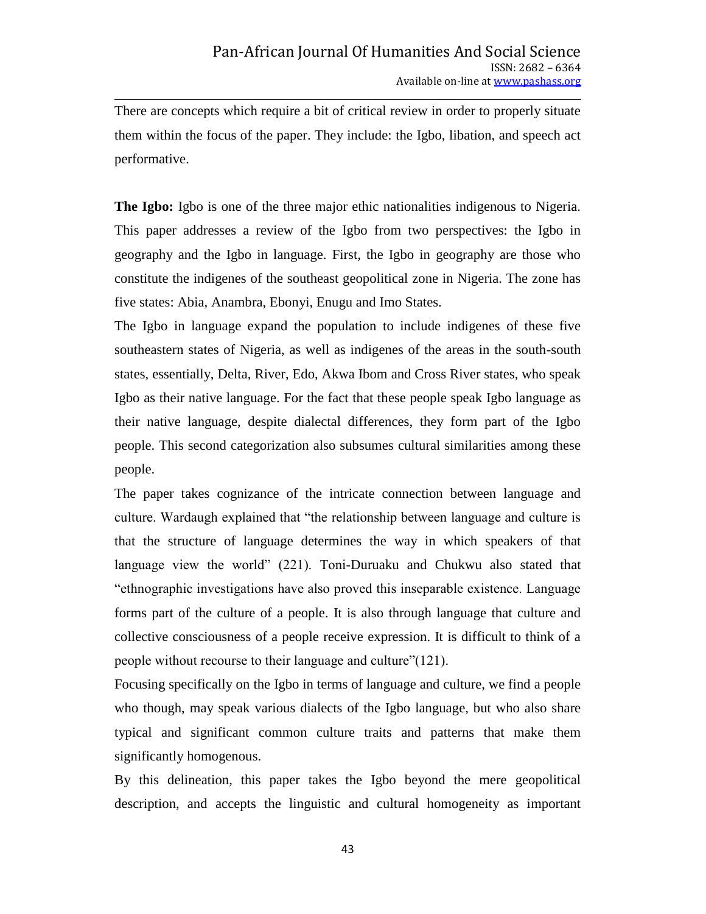There are concepts which require a bit of critical review in order to properly situate them within the focus of the paper. They include: the Igbo, libation, and speech act performative.

**The Igbo:** Igbo is one of the three major ethic nationalities indigenous to Nigeria. This paper addresses a review of the Igbo from two perspectives: the Igbo in geography and the Igbo in language. First, the Igbo in geography are those who constitute the indigenes of the southeast geopolitical zone in Nigeria. The zone has five states: Abia, Anambra, Ebonyi, Enugu and Imo States.

The Igbo in language expand the population to include indigenes of these five southeastern states of Nigeria, as well as indigenes of the areas in the south-south states, essentially, Delta, River, Edo, Akwa Ibom and Cross River states, who speak Igbo as their native language. For the fact that these people speak Igbo language as their native language, despite dialectal differences, they form part of the Igbo people. This second categorization also subsumes cultural similarities among these people.

The paper takes cognizance of the intricate connection between language and culture. Wardaugh explained that "the relationship between language and culture is that the structure of language determines the way in which speakers of that language view the world" (221). Toni-Duruaku and Chukwu also stated that "ethnographic investigations have also proved this inseparable existence. Language forms part of the culture of a people. It is also through language that culture and collective consciousness of a people receive expression. It is difficult to think of a people without recourse to their language and culture"(121).

Focusing specifically on the Igbo in terms of language and culture, we find a people who though, may speak various dialects of the Igbo language, but who also share typical and significant common culture traits and patterns that make them significantly homogenous.

By this delineation, this paper takes the Igbo beyond the mere geopolitical description, and accepts the linguistic and cultural homogeneity as important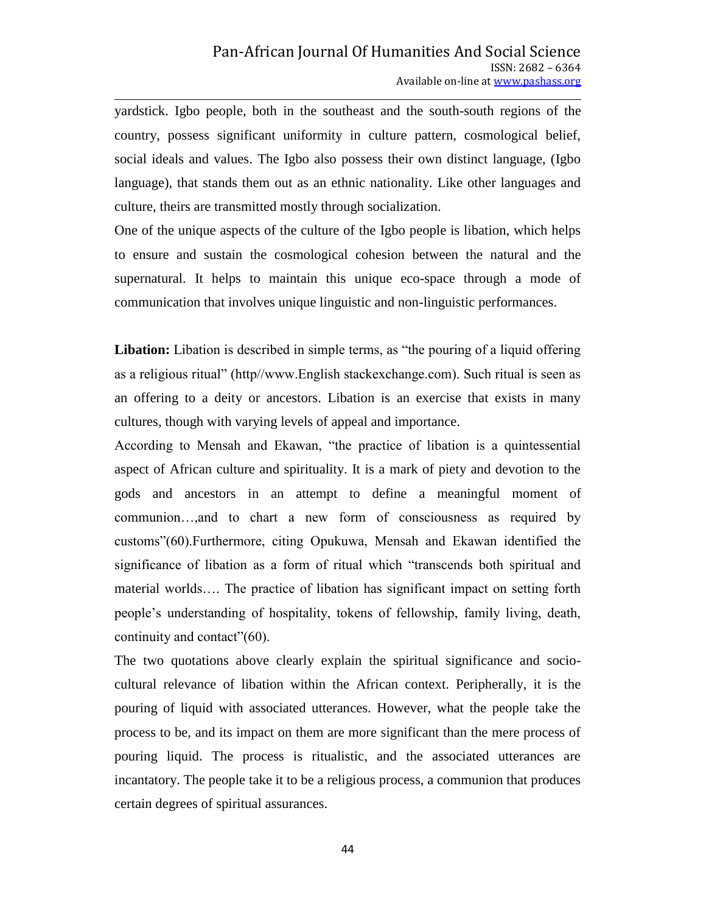yardstick. Igbo people, both in the southeast and the south-south regions of the country, possess significant uniformity in culture pattern, cosmological belief, social ideals and values. The Igbo also possess their own distinct language, (Igbo language), that stands them out as an ethnic nationality. Like other languages and culture, theirs are transmitted mostly through socialization.

One of the unique aspects of the culture of the Igbo people is libation, which helps to ensure and sustain the cosmological cohesion between the natural and the supernatural. It helps to maintain this unique eco-space through a mode of communication that involves unique linguistic and non-linguistic performances.

Libation: Libation is described in simple terms, as "the pouring of a liquid offering as a religious ritual" (http//www.English stackexchange.com). Such ritual is seen as an offering to a deity or ancestors. Libation is an exercise that exists in many cultures, though with varying levels of appeal and importance.

According to Mensah and Ekawan, "the practice of libation is a quintessential aspect of African culture and spirituality. It is a mark of piety and devotion to the gods and ancestors in an attempt to define a meaningful moment of communion…,and to chart a new form of consciousness as required by customs"(60).Furthermore, citing Opukuwa, Mensah and Ekawan identified the significance of libation as a form of ritual which "transcends both spiritual and material worlds…. The practice of libation has significant impact on setting forth people's understanding of hospitality, tokens of fellowship, family living, death, continuity and contact"(60).

The two quotations above clearly explain the spiritual significance and sociocultural relevance of libation within the African context. Peripherally, it is the pouring of liquid with associated utterances. However, what the people take the process to be, and its impact on them are more significant than the mere process of pouring liquid. The process is ritualistic, and the associated utterances are incantatory. The people take it to be a religious process, a communion that produces certain degrees of spiritual assurances.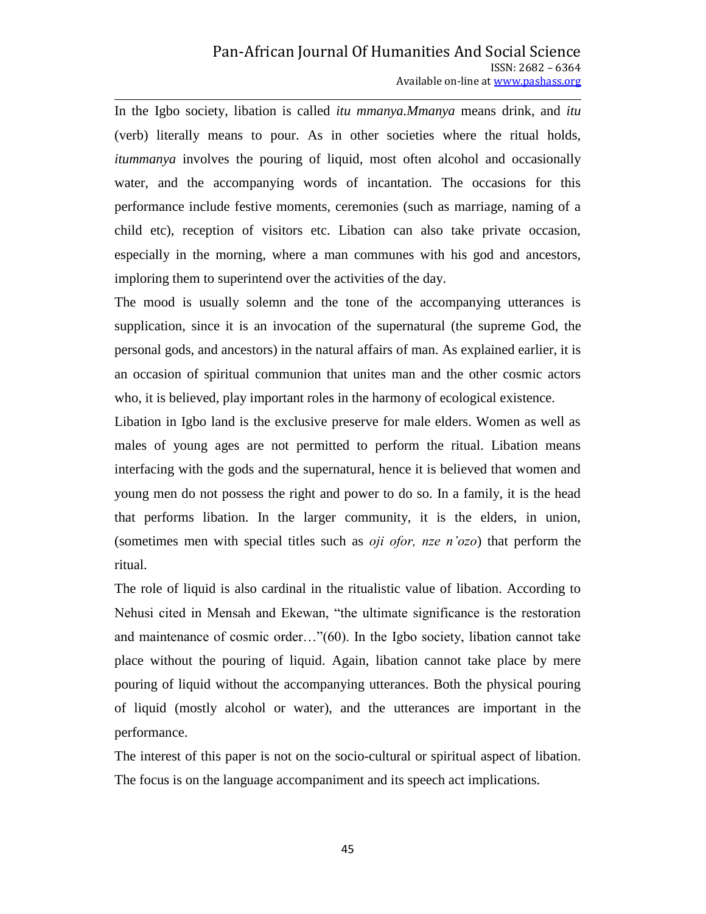In the Igbo society, libation is called *itu mmanya.Mmanya* means drink, and *itu* (verb) literally means to pour. As in other societies where the ritual holds, *itummanya* involves the pouring of liquid, most often alcohol and occasionally water, and the accompanying words of incantation. The occasions for this performance include festive moments, ceremonies (such as marriage, naming of a child etc), reception of visitors etc. Libation can also take private occasion, especially in the morning, where a man communes with his god and ancestors, imploring them to superintend over the activities of the day.

The mood is usually solemn and the tone of the accompanying utterances is supplication, since it is an invocation of the supernatural (the supreme God, the personal gods, and ancestors) in the natural affairs of man. As explained earlier, it is an occasion of spiritual communion that unites man and the other cosmic actors who, it is believed, play important roles in the harmony of ecological existence.

Libation in Igbo land is the exclusive preserve for male elders. Women as well as males of young ages are not permitted to perform the ritual. Libation means interfacing with the gods and the supernatural, hence it is believed that women and young men do not possess the right and power to do so. In a family, it is the head that performs libation. In the larger community, it is the elders, in union, (sometimes men with special titles such as *oji ofor, nze n'ozo*) that perform the ritual.

The role of liquid is also cardinal in the ritualistic value of libation. According to Nehusi cited in Mensah and Ekewan, "the ultimate significance is the restoration and maintenance of cosmic order…"(60). In the Igbo society, libation cannot take place without the pouring of liquid. Again, libation cannot take place by mere pouring of liquid without the accompanying utterances. Both the physical pouring of liquid (mostly alcohol or water), and the utterances are important in the performance.

The interest of this paper is not on the socio-cultural or spiritual aspect of libation. The focus is on the language accompaniment and its speech act implications.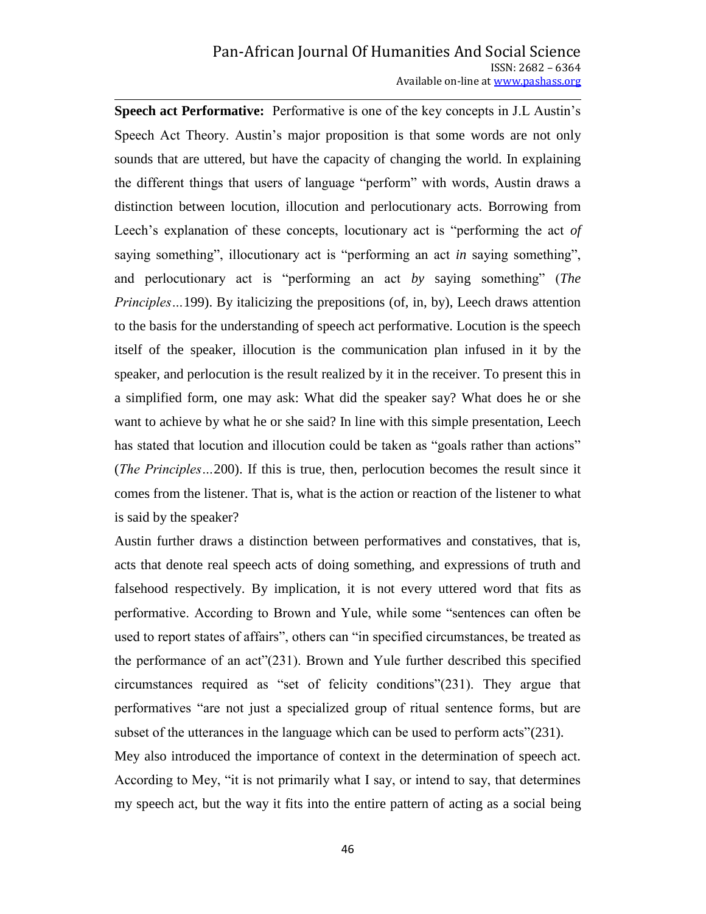**Speech act Performative:** Performative is one of the key concepts in J.L Austin's Speech Act Theory. Austin's major proposition is that some words are not only sounds that are uttered, but have the capacity of changing the world. In explaining the different things that users of language "perform" with words, Austin draws a distinction between locution, illocution and perlocutionary acts. Borrowing from Leech's explanation of these concepts, locutionary act is "performing the act *of* saying something", illocutionary act is "performing an act *in* saying something", and perlocutionary act is "performing an act *by* saying something" (*The Principles* ... 199). By italicizing the prepositions (of, in, by), Leech draws attention to the basis for the understanding of speech act performative. Locution is the speech itself of the speaker, illocution is the communication plan infused in it by the speaker, and perlocution is the result realized by it in the receiver. To present this in a simplified form, one may ask: What did the speaker say? What does he or she want to achieve by what he or she said? In line with this simple presentation, Leech has stated that locution and illocution could be taken as "goals rather than actions" (*The Principles…*200). If this is true, then, perlocution becomes the result since it comes from the listener. That is, what is the action or reaction of the listener to what is said by the speaker?

Austin further draws a distinction between performatives and constatives, that is, acts that denote real speech acts of doing something, and expressions of truth and falsehood respectively. By implication, it is not every uttered word that fits as performative. According to Brown and Yule, while some "sentences can often be used to report states of affairs", others can "in specified circumstances, be treated as the performance of an act"(231). Brown and Yule further described this specified circumstances required as "set of felicity conditions"(231). They argue that performatives "are not just a specialized group of ritual sentence forms, but are subset of the utterances in the language which can be used to perform acts"(231).

Mey also introduced the importance of context in the determination of speech act. According to Mey, "it is not primarily what I say, or intend to say, that determines my speech act, but the way it fits into the entire pattern of acting as a social being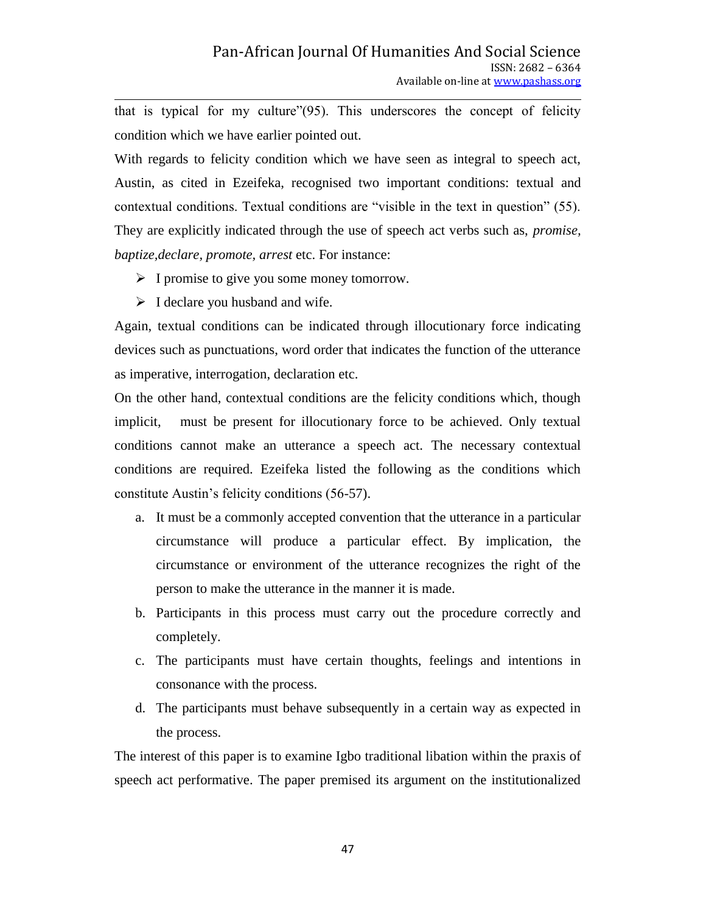that is typical for my culture"(95). This underscores the concept of felicity condition which we have earlier pointed out.

With regards to felicity condition which we have seen as integral to speech act, Austin, as cited in Ezeifeka, recognised two important conditions: textual and contextual conditions. Textual conditions are "visible in the text in question" (55). They are explicitly indicated through the use of speech act verbs such as, *promise, baptize,declare, promote, arrest* etc. For instance:

- $\triangleright$  I promise to give you some money tomorrow.
- $\triangleright$  I declare you husband and wife.

Again, textual conditions can be indicated through illocutionary force indicating devices such as punctuations, word order that indicates the function of the utterance as imperative, interrogation, declaration etc.

On the other hand, contextual conditions are the felicity conditions which, though implicit, must be present for illocutionary force to be achieved. Only textual conditions cannot make an utterance a speech act. The necessary contextual conditions are required. Ezeifeka listed the following as the conditions which constitute Austin's felicity conditions (56-57).

- a. It must be a commonly accepted convention that the utterance in a particular circumstance will produce a particular effect. By implication, the circumstance or environment of the utterance recognizes the right of the person to make the utterance in the manner it is made.
- b. Participants in this process must carry out the procedure correctly and completely.
- c. The participants must have certain thoughts, feelings and intentions in consonance with the process.
- d. The participants must behave subsequently in a certain way as expected in the process.

The interest of this paper is to examine Igbo traditional libation within the praxis of speech act performative. The paper premised its argument on the institutionalized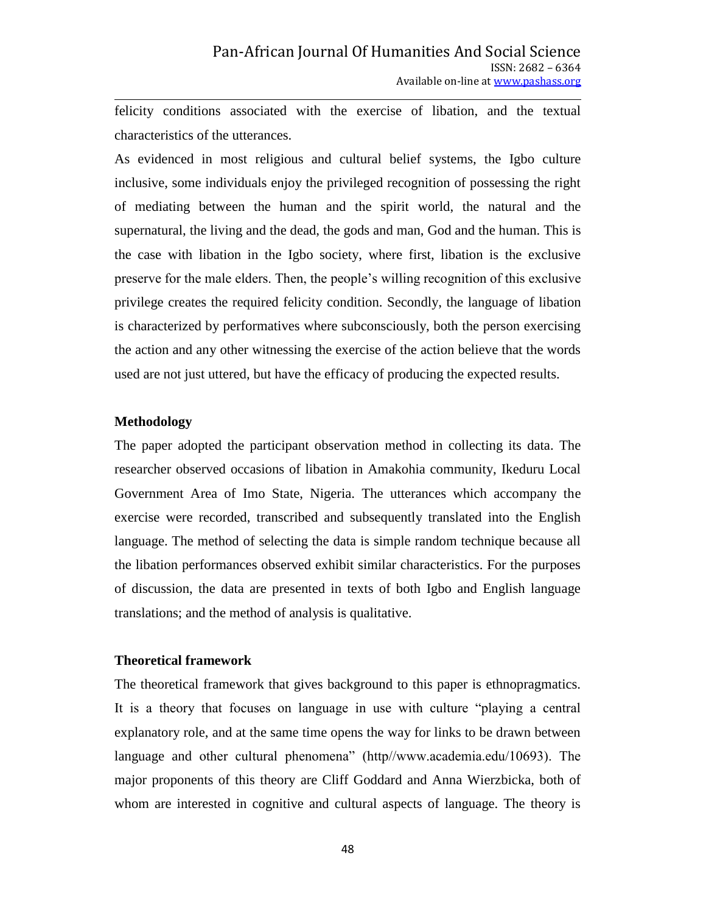felicity conditions associated with the exercise of libation, and the textual characteristics of the utterances.

As evidenced in most religious and cultural belief systems, the Igbo culture inclusive, some individuals enjoy the privileged recognition of possessing the right of mediating between the human and the spirit world, the natural and the supernatural, the living and the dead, the gods and man, God and the human. This is the case with libation in the Igbo society, where first, libation is the exclusive preserve for the male elders. Then, the people's willing recognition of this exclusive privilege creates the required felicity condition. Secondly, the language of libation is characterized by performatives where subconsciously, both the person exercising the action and any other witnessing the exercise of the action believe that the words used are not just uttered, but have the efficacy of producing the expected results.

# **Methodology**

The paper adopted the participant observation method in collecting its data. The researcher observed occasions of libation in Amakohia community, Ikeduru Local Government Area of Imo State, Nigeria. The utterances which accompany the exercise were recorded, transcribed and subsequently translated into the English language. The method of selecting the data is simple random technique because all the libation performances observed exhibit similar characteristics. For the purposes of discussion, the data are presented in texts of both Igbo and English language translations; and the method of analysis is qualitative.

#### **Theoretical framework**

The theoretical framework that gives background to this paper is ethnopragmatics. It is a theory that focuses on language in use with culture "playing a central explanatory role, and at the same time opens the way for links to be drawn between language and other cultural phenomena" (http//www.academia.edu/10693). The major proponents of this theory are Cliff Goddard and Anna Wierzbicka, both of whom are interested in cognitive and cultural aspects of language. The theory is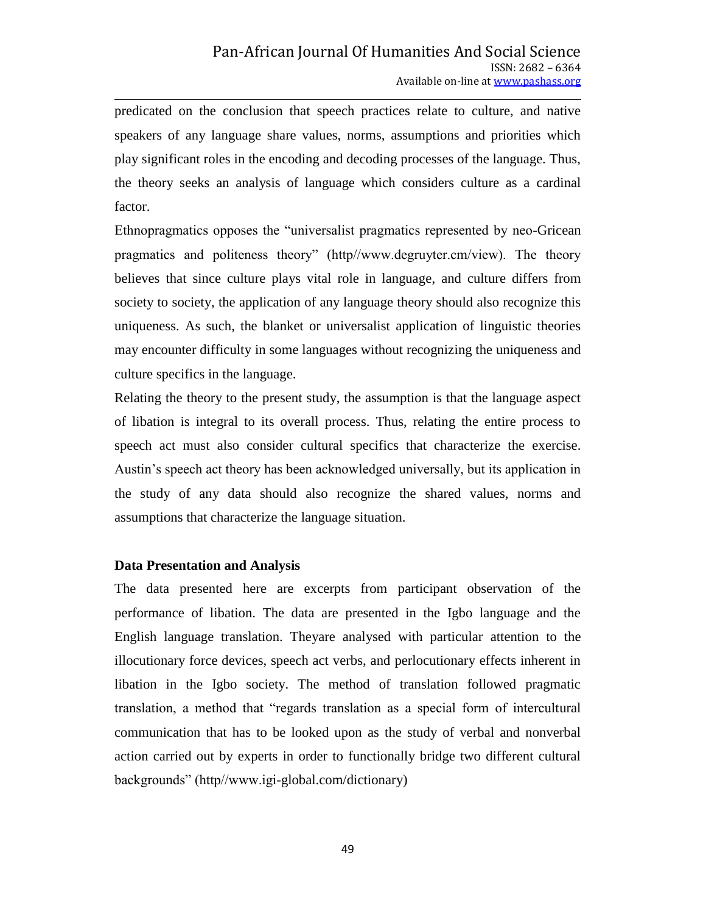predicated on the conclusion that speech practices relate to culture, and native speakers of any language share values, norms, assumptions and priorities which play significant roles in the encoding and decoding processes of the language. Thus, the theory seeks an analysis of language which considers culture as a cardinal factor.

Ethnopragmatics opposes the "universalist pragmatics represented by neo-Gricean pragmatics and politeness theory" (http//www.degruyter.cm/view). The theory believes that since culture plays vital role in language, and culture differs from society to society, the application of any language theory should also recognize this uniqueness. As such, the blanket or universalist application of linguistic theories may encounter difficulty in some languages without recognizing the uniqueness and culture specifics in the language.

Relating the theory to the present study, the assumption is that the language aspect of libation is integral to its overall process. Thus, relating the entire process to speech act must also consider cultural specifics that characterize the exercise. Austin's speech act theory has been acknowledged universally, but its application in the study of any data should also recognize the shared values, norms and assumptions that characterize the language situation.

# **Data Presentation and Analysis**

The data presented here are excerpts from participant observation of the performance of libation. The data are presented in the Igbo language and the English language translation. Theyare analysed with particular attention to the illocutionary force devices, speech act verbs, and perlocutionary effects inherent in libation in the Igbo society. The method of translation followed pragmatic translation, a method that "regards translation as a special form of intercultural communication that has to be looked upon as the study of verbal and nonverbal action carried out by experts in order to functionally bridge two different cultural backgrounds" (http//www.igi-global.com/dictionary)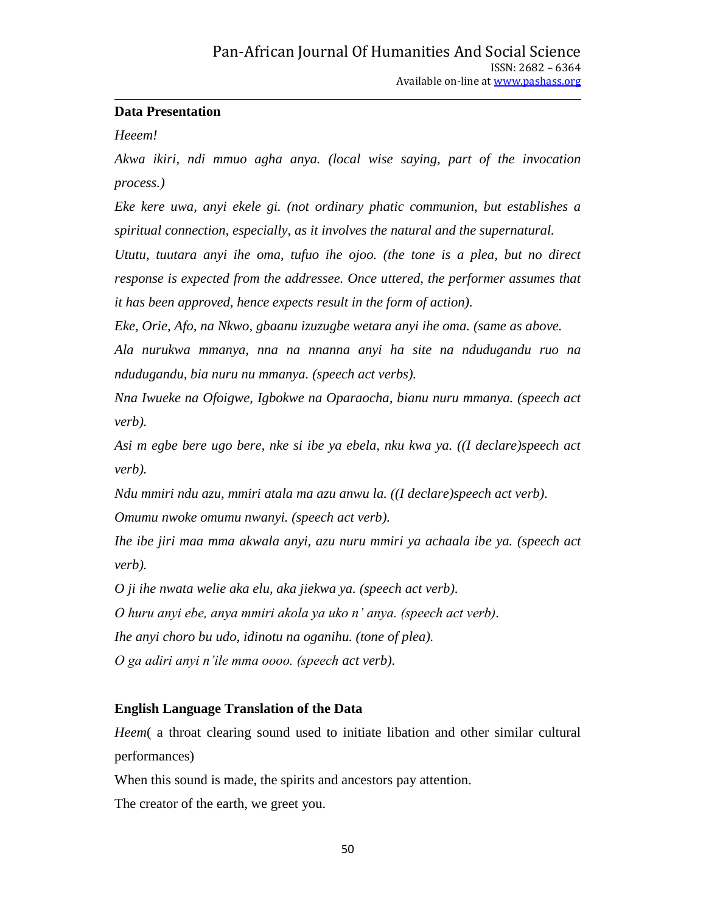# **Data Presentation**

*Heeem!*

*Akwa ikiri, ndi mmuo agha anya. (local wise saying, part of the invocation process.)*

*Eke kere uwa, anyi ekele gi. (not ordinary phatic communion, but establishes a spiritual connection, especially, as it involves the natural and the supernatural.*

*Ututu, tuutara anyi ihe oma, tufuo ihe ojoo. (the tone is a plea, but no direct response is expected from the addressee. Once uttered, the performer assumes that it has been approved, hence expects result in the form of action).*

*Eke, Orie, Afo, na Nkwo, gbaanu izuzugbe wetara anyi ihe oma. (same as above.*

*Ala nurukwa mmanya, nna na nnanna anyi ha site na ndudugandu ruo na ndudugandu, bia nuru nu mmanya. (speech act verbs).*

*Nna Iwueke na Ofoigwe, Igbokwe na Oparaocha, bianu nuru mmanya. (speech act verb).*

*Asi m egbe bere ugo bere, nke si ibe ya ebela, nku kwa ya. ((I declare)speech act verb).*

*Ndu mmiri ndu azu, mmiri atala ma azu anwu la. ((I declare)speech act verb).*

*Omumu nwoke omumu nwanyi. (speech act verb).*

*Ihe ibe jiri maa mma akwala anyi, azu nuru mmiri ya achaala ibe ya. (speech act verb).*

*O ji ihe nwata welie aka elu, aka jiekwa ya. (speech act verb).*

*O huru anyi ebe, anya mmiri akola ya uko n' anya. (speech act verb).*

*Ihe anyi choro bu udo, idinotu na oganihu. (tone of plea).*

*O ga adiri anyi n'ile mma oooo. (speech act verb).*

# **English Language Translation of the Data**

*Heem* a throat clearing sound used to initiate libation and other similar cultural performances)

When this sound is made, the spirits and ancestors pay attention.

The creator of the earth, we greet you.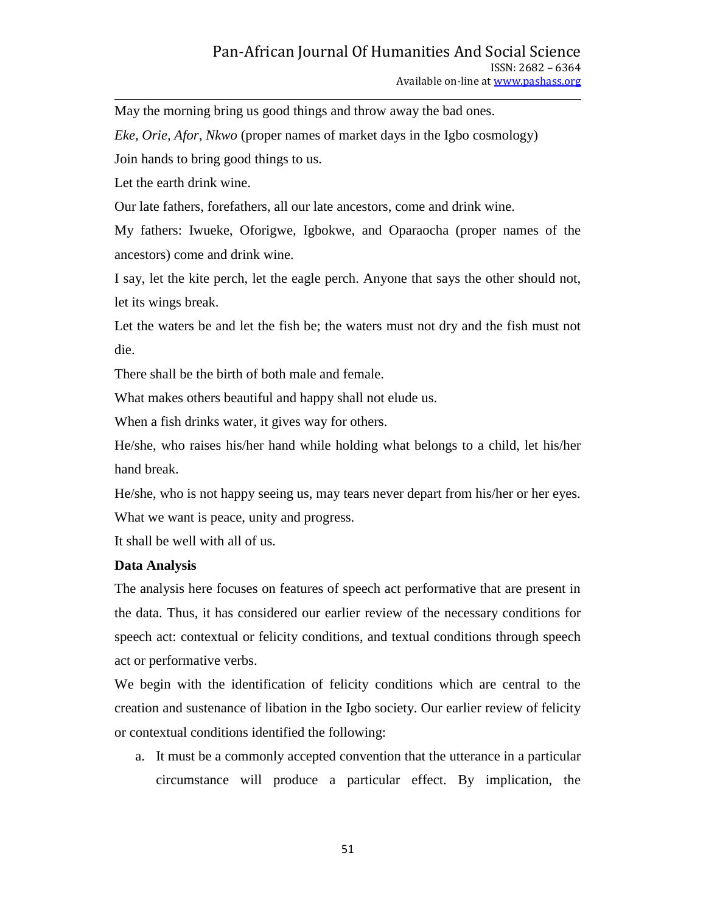May the morning bring us good things and throw away the bad ones.

*Eke, Orie, Afor, Nkwo* (proper names of market days in the Igbo cosmology)

Join hands to bring good things to us.

Let the earth drink wine.

Our late fathers, forefathers, all our late ancestors, come and drink wine.

My fathers: Iwueke, Oforigwe, Igbokwe, and Oparaocha (proper names of the ancestors) come and drink wine.

I say, let the kite perch, let the eagle perch. Anyone that says the other should not, let its wings break.

Let the waters be and let the fish be; the waters must not dry and the fish must not die.

There shall be the birth of both male and female.

What makes others beautiful and happy shall not elude us.

When a fish drinks water, it gives way for others.

He/she, who raises his/her hand while holding what belongs to a child, let his/her hand break.

He/she, who is not happy seeing us, may tears never depart from his/her or her eyes. What we want is peace, unity and progress.

It shall be well with all of us.

#### **Data Analysis**

The analysis here focuses on features of speech act performative that are present in the data. Thus, it has considered our earlier review of the necessary conditions for speech act: contextual or felicity conditions, and textual conditions through speech act or performative verbs.

We begin with the identification of felicity conditions which are central to the creation and sustenance of libation in the Igbo society. Our earlier review of felicity or contextual conditions identified the following:

a. It must be a commonly accepted convention that the utterance in a particular circumstance will produce a particular effect. By implication, the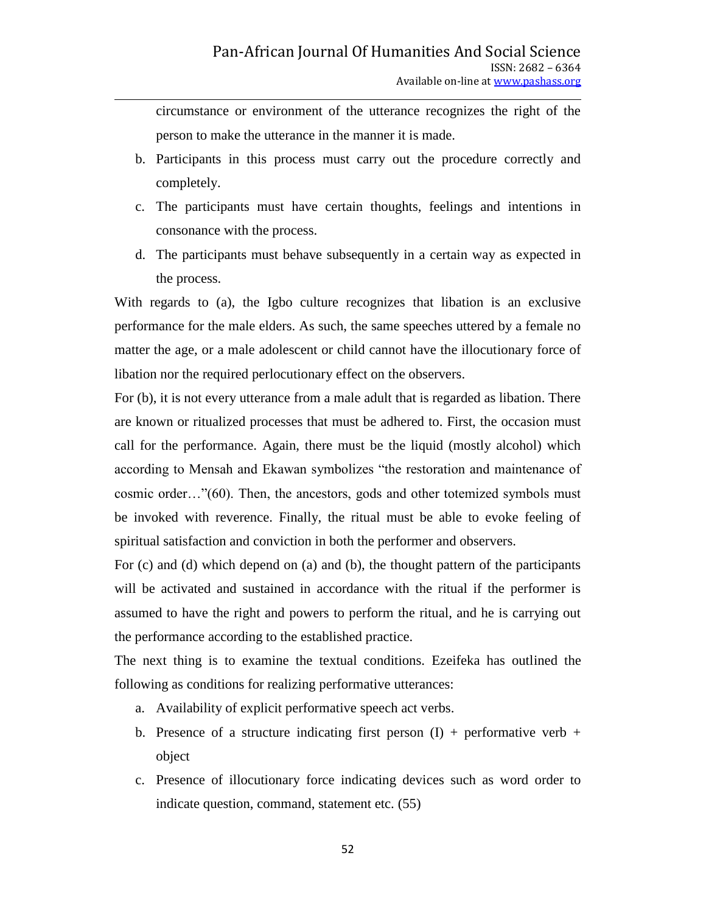circumstance or environment of the utterance recognizes the right of the person to make the utterance in the manner it is made.

- b. Participants in this process must carry out the procedure correctly and completely.
- c. The participants must have certain thoughts, feelings and intentions in consonance with the process.
- d. The participants must behave subsequently in a certain way as expected in the process.

With regards to (a), the Igbo culture recognizes that libation is an exclusive performance for the male elders. As such, the same speeches uttered by a female no matter the age, or a male adolescent or child cannot have the illocutionary force of libation nor the required perlocutionary effect on the observers.

For (b), it is not every utterance from a male adult that is regarded as libation. There are known or ritualized processes that must be adhered to. First, the occasion must call for the performance. Again, there must be the liquid (mostly alcohol) which according to Mensah and Ekawan symbolizes "the restoration and maintenance of cosmic order…"(60). Then, the ancestors, gods and other totemized symbols must be invoked with reverence. Finally, the ritual must be able to evoke feeling of spiritual satisfaction and conviction in both the performer and observers.

For (c) and (d) which depend on (a) and (b), the thought pattern of the participants will be activated and sustained in accordance with the ritual if the performer is assumed to have the right and powers to perform the ritual, and he is carrying out the performance according to the established practice.

The next thing is to examine the textual conditions. Ezeifeka has outlined the following as conditions for realizing performative utterances:

- a. Availability of explicit performative speech act verbs.
- b. Presence of a structure indicating first person  $(I)$  + performative verb + object
- c. Presence of illocutionary force indicating devices such as word order to indicate question, command, statement etc. (55)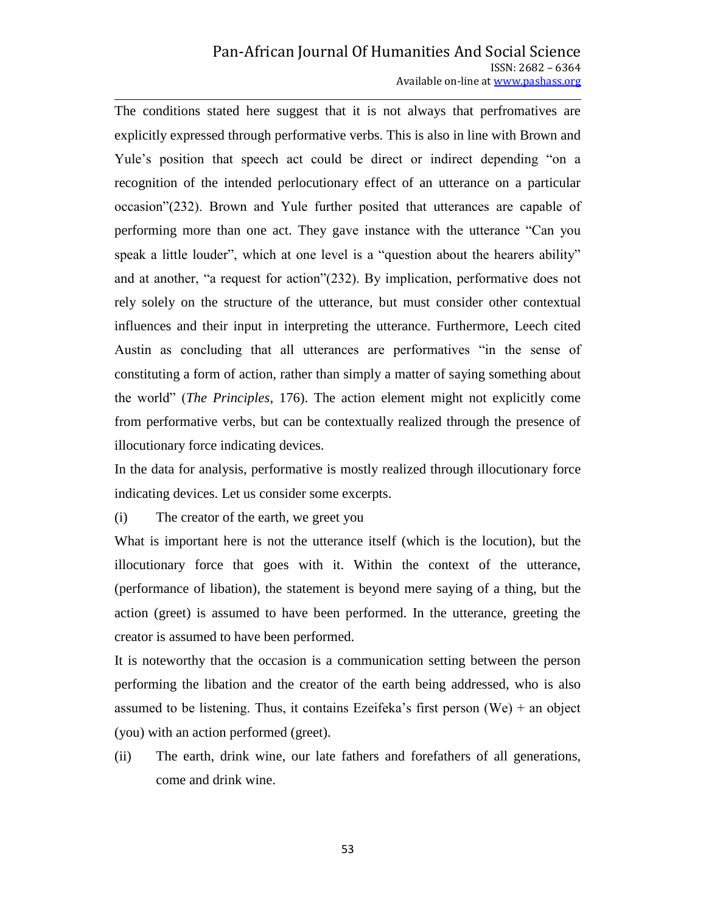## Pan-African Journal Of Humanities And Social Science ISSN: 2682 – 6364 Available on-line at www.pashass.org

The conditions stated here suggest that it is not always that perfromatives are explicitly expressed through performative verbs. This is also in line with Brown and Yule's position that speech act could be direct or indirect depending "on a recognition of the intended perlocutionary effect of an utterance on a particular occasion"(232). Brown and Yule further posited that utterances are capable of performing more than one act. They gave instance with the utterance "Can you speak a little louder", which at one level is a "question about the hearers ability" and at another, "a request for action"(232). By implication, performative does not rely solely on the structure of the utterance, but must consider other contextual influences and their input in interpreting the utterance. Furthermore, Leech cited Austin as concluding that all utterances are performatives "in the sense of constituting a form of action, rather than simply a matter of saying something about the world" (*The Principles*, 176). The action element might not explicitly come from performative verbs, but can be contextually realized through the presence of illocutionary force indicating devices.

In the data for analysis, performative is mostly realized through illocutionary force indicating devices. Let us consider some excerpts.

(i) The creator of the earth, we greet you

What is important here is not the utterance itself (which is the locution), but the illocutionary force that goes with it. Within the context of the utterance, (performance of libation), the statement is beyond mere saying of a thing, but the action (greet) is assumed to have been performed. In the utterance, greeting the creator is assumed to have been performed.

It is noteworthy that the occasion is a communication setting between the person performing the libation and the creator of the earth being addressed, who is also assumed to be listening. Thus, it contains Ezeifeka's first person  $(We) + an object$ (you) with an action performed (greet).

(ii) The earth, drink wine, our late fathers and forefathers of all generations, come and drink wine.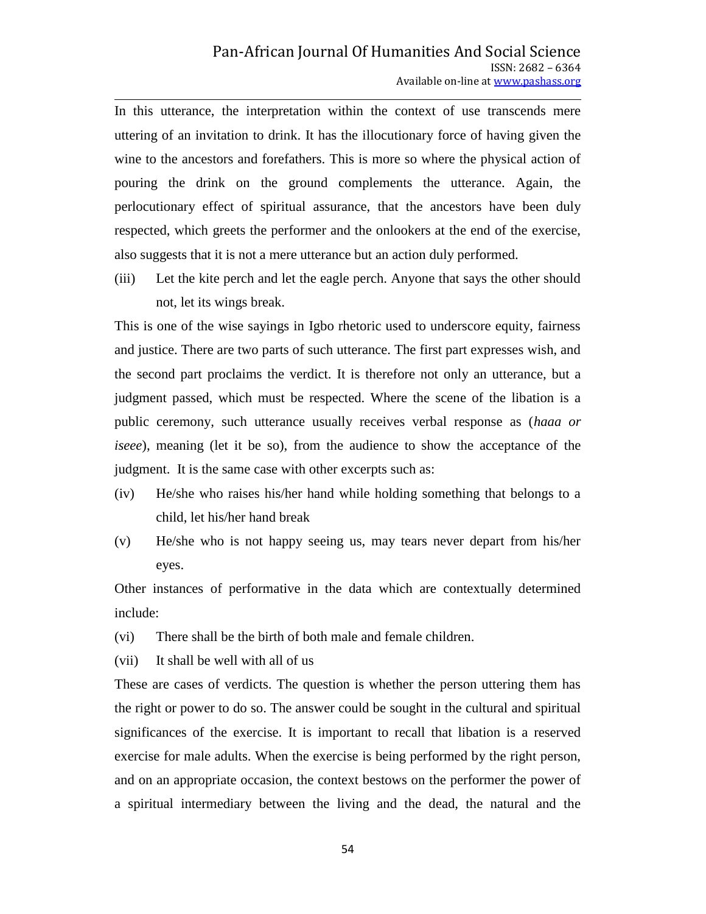In this utterance, the interpretation within the context of use transcends mere uttering of an invitation to drink. It has the illocutionary force of having given the wine to the ancestors and forefathers. This is more so where the physical action of pouring the drink on the ground complements the utterance. Again, the perlocutionary effect of spiritual assurance, that the ancestors have been duly respected, which greets the performer and the onlookers at the end of the exercise, also suggests that it is not a mere utterance but an action duly performed.

(iii) Let the kite perch and let the eagle perch. Anyone that says the other should not, let its wings break.

This is one of the wise sayings in Igbo rhetoric used to underscore equity, fairness and justice. There are two parts of such utterance. The first part expresses wish, and the second part proclaims the verdict. It is therefore not only an utterance, but a judgment passed, which must be respected. Where the scene of the libation is a public ceremony, such utterance usually receives verbal response as (*haaa or iseee*), meaning (let it be so), from the audience to show the acceptance of the judgment. It is the same case with other excerpts such as:

- (iv) He/she who raises his/her hand while holding something that belongs to a child, let his/her hand break
- (v) He/she who is not happy seeing us, may tears never depart from his/her eyes.

Other instances of performative in the data which are contextually determined include:

- (vi) There shall be the birth of both male and female children.
- (vii) It shall be well with all of us

These are cases of verdicts. The question is whether the person uttering them has the right or power to do so. The answer could be sought in the cultural and spiritual significances of the exercise. It is important to recall that libation is a reserved exercise for male adults. When the exercise is being performed by the right person, and on an appropriate occasion, the context bestows on the performer the power of a spiritual intermediary between the living and the dead, the natural and the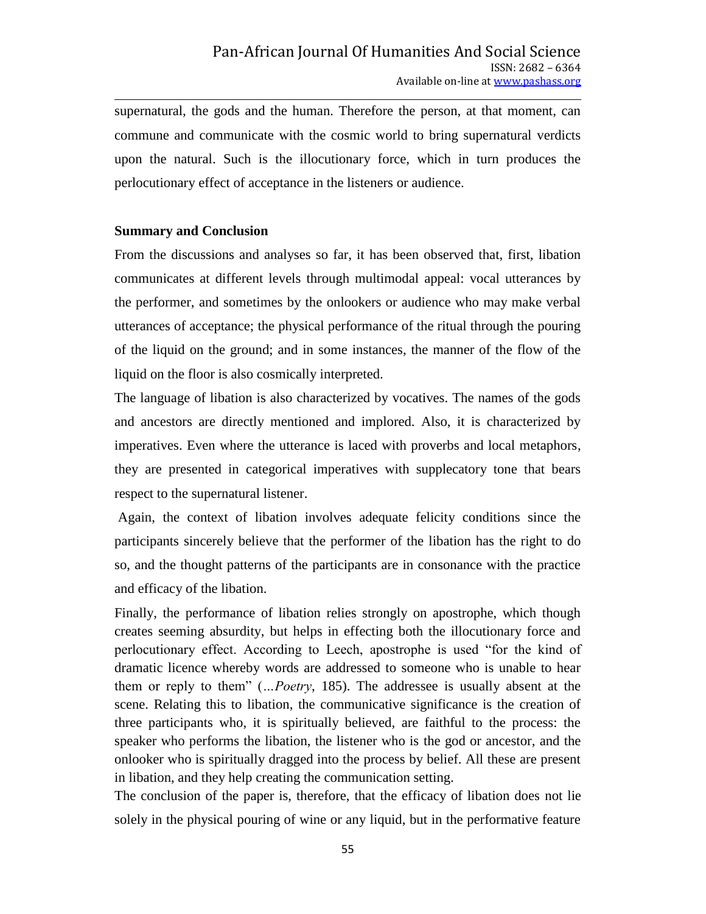supernatural, the gods and the human. Therefore the person, at that moment, can commune and communicate with the cosmic world to bring supernatural verdicts upon the natural. Such is the illocutionary force, which in turn produces the perlocutionary effect of acceptance in the listeners or audience.

# **Summary and Conclusion**

From the discussions and analyses so far, it has been observed that, first, libation communicates at different levels through multimodal appeal: vocal utterances by the performer, and sometimes by the onlookers or audience who may make verbal utterances of acceptance; the physical performance of the ritual through the pouring of the liquid on the ground; and in some instances, the manner of the flow of the liquid on the floor is also cosmically interpreted.

The language of libation is also characterized by vocatives. The names of the gods and ancestors are directly mentioned and implored. Also, it is characterized by imperatives. Even where the utterance is laced with proverbs and local metaphors, they are presented in categorical imperatives with supplecatory tone that bears respect to the supernatural listener.

Again, the context of libation involves adequate felicity conditions since the participants sincerely believe that the performer of the libation has the right to do so, and the thought patterns of the participants are in consonance with the practice and efficacy of the libation.

Finally, the performance of libation relies strongly on apostrophe, which though creates seeming absurdity, but helps in effecting both the illocutionary force and perlocutionary effect. According to Leech, apostrophe is used "for the kind of dramatic licence whereby words are addressed to someone who is unable to hear them or reply to them" (*…Poetry*, 185). The addressee is usually absent at the scene. Relating this to libation, the communicative significance is the creation of three participants who, it is spiritually believed, are faithful to the process: the speaker who performs the libation, the listener who is the god or ancestor, and the onlooker who is spiritually dragged into the process by belief. All these are present in libation, and they help creating the communication setting.

The conclusion of the paper is, therefore, that the efficacy of libation does not lie solely in the physical pouring of wine or any liquid, but in the performative feature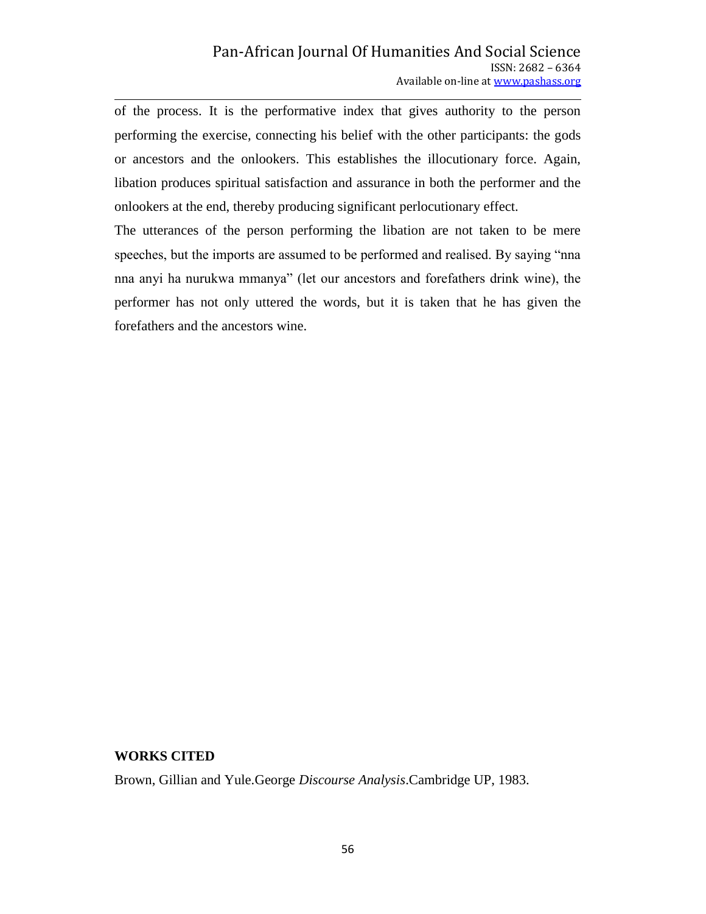of the process. It is the performative index that gives authority to the person performing the exercise, connecting his belief with the other participants: the gods or ancestors and the onlookers. This establishes the illocutionary force. Again, libation produces spiritual satisfaction and assurance in both the performer and the onlookers at the end, thereby producing significant perlocutionary effect.

The utterances of the person performing the libation are not taken to be mere speeches, but the imports are assumed to be performed and realised. By saying "nna nna anyi ha nurukwa mmanya" (let our ancestors and forefathers drink wine), the performer has not only uttered the words, but it is taken that he has given the forefathers and the ancestors wine.

#### **WORKS CITED**

Brown, Gillian and Yule.George *Discourse Analysis*.Cambridge UP, 1983.